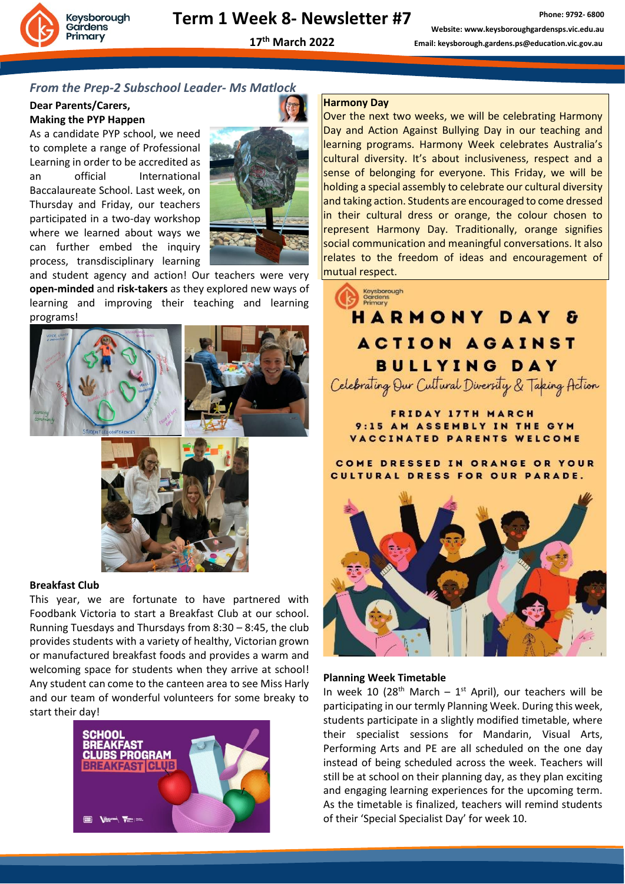**17 th March 2022**

**Phone: 9792- 6800 Website: www.keysboroughgardensps.vic.edu.au Email: keysborough.gardens.ps@education.vic.gov.au**

#### *From the Prep-2 Subschool Leader- Ms Matlock*

#### **Dear Parents/Carers, Making the PYP Happen**

As a candidate PYP school, we need to complete a range of Professional Learning in order to be accredited as an official International Baccalaureate School. Last week, on Thursday and Friday, our teachers participated in a two-day workshop where we learned about ways we can further embed the inquiry process, transdisciplinary learning



and student agency and action! Our teachers were very **open-minded** and **risk-takers** as they explored new ways of learning and improving their teaching and learning programs!





#### **Breakfast Club**

This year, we are fortunate to have partnered with Foodbank Victoria to start a Breakfast Club at our school. Running Tuesdays and Thursdays from 8:30 – 8:45, the club provides students with a variety of healthy, Victorian grown or manufactured breakfast foods and provides a warm and welcoming space for students when they arrive at school! Any student can come to the canteen area to see Miss Harly and our team of wonderful volunteers for some breaky to start their day!



#### **Harmony Day**

Over the next two weeks, we will be celebrating Harmony Day and Action Against Bullying Day in our teaching and learning programs. Harmony Week celebrates Australia's cultural diversity. It's about inclusiveness, respect and a sense of belonging for everyone. This Friday, we will be holding a special assembly to celebrate our cultural diversity and taking action. Students are encouraged to come dressed in their cultural dress or orange, the colour chosen to represent Harmony Day. Traditionally, orange signifies social communication and meaningful conversations. It also relates to the freedom of ideas and encouragement of mutual respect.

### Keysborough<br>Gardens<br>Primary **HARMONY DAY**  $\mathbf{F}$ **ACTION AGAINST BULLYING DAY** Celebrating Our Cultural Diversity & Taking Action

**FRIDAY 17TH MARCH** 9:15 AM ASSEMBLY IN THE GYM VACCINATED PARENTS WELCOME

COME DRESSED IN ORANGE OR YOUR CULTURAL DRESS FOR OUR PARADE.



#### **Planning Week Timetable**

In week 10 (28<sup>th</sup> March – 1<sup>st</sup> April), our teachers will be participating in our termly Planning Week. During this week, students participate in a slightly modified timetable, where their specialist sessions for Mandarin, Visual Arts, Performing Arts and PE are all scheduled on the one day instead of being scheduled across the week. Teachers will still be at school on their planning day, as they plan exciting and engaging learning experiences for the upcoming term. As the timetable is finalized, teachers will remind students of their 'Special Specialist Day' for week 10.

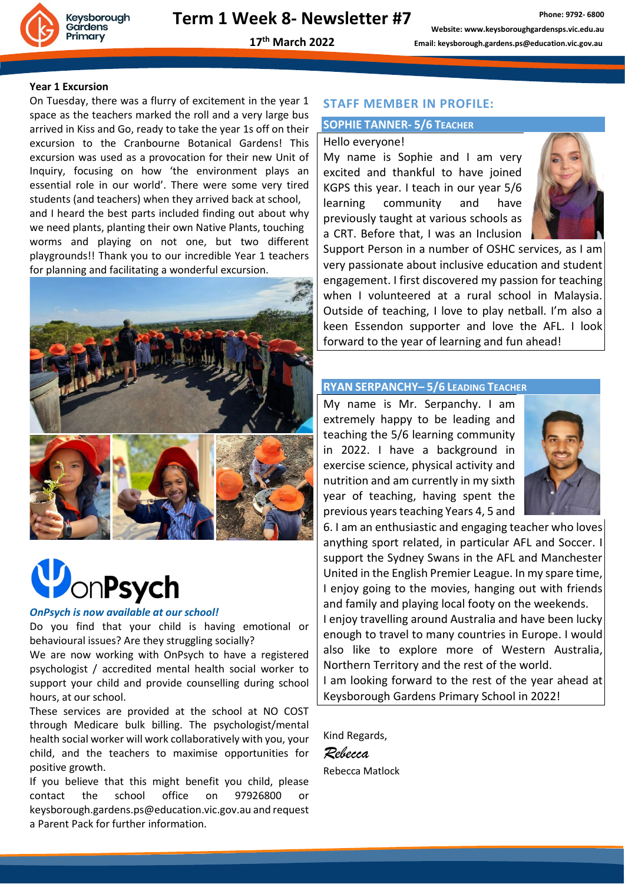

**17 th March 2022**

#### **Year 1 Excursion**

On Tuesday, there was a flurry of excitement in the year 1 space as the teachers marked the roll and a very large bus arrived in Kiss and Go, ready to take the year 1s off on their excursion to the Cranbourne Botanical Gardens! This excursion was used as a provocation for their new Unit of Inquiry, focusing on how 'the environment plays an essential role in our world'. There were some very tired students (and teachers) when they arrived back at school, and I heard the best parts included finding out about why we need plants, planting their own Native Plants, touching worms and playing on not one, but two different playgrounds!! Thank you to our incredible Year 1 teachers for planning and facilitating a wonderful excursion.



## **DonPsych**

#### *OnPsych is now available at our school!*

Do you find that your child is having emotional or behavioural issues? Are they struggling socially?

We are now working with OnPsych to have a registered psychologist / accredited mental health social worker to support your child and provide counselling during school hours, at our school.

These services are provided at the school at NO COST through Medicare bulk billing. The psychologist/mental health social worker will work collaboratively with you, your child, and the teachers to maximise opportunities for positive growth.

If you believe that this might benefit you child, please contact the school office on 97926800 or keysborough.gardens.ps@education.vic.gov.au and request a Parent Pack for further information.

#### **STAFF MEMBER IN PROFILE:**

#### **SOPHIE TANNER- 5/6 TEACHER**

#### Hello everyone!

My name is Sophie and I am very excited and thankful to have joined KGPS this year. I teach in our year 5/6 learning community and have previously taught at various schools as a CRT. Before that, I was an Inclusion



Support Person in a number of OSHC services, as I am very passionate about inclusive education and student engagement. I first discovered my passion for teaching when I volunteered at a rural school in Malaysia. Outside of teaching, I love to play netball. I'm also a keen Essendon supporter and love the AFL. I look forward to the year of learning and fun ahead!

#### **RYAN SERPANCHY– 5/6 LEADING TEACHER**

My name is Mr. Serpanchy. I am extremely happy to be leading and teaching the 5/6 learning community in 2022. I have a background in exercise science, physical activity and nutrition and am currently in my sixth year of teaching, having spent the previous years teaching Years 4, 5 and



6. I am an enthusiastic and engaging teacher who loves anything sport related, in particular AFL and Soccer. I support the Sydney Swans in the AFL and Manchester United in the English Premier League. In my spare time, I enjoy going to the movies, hanging out with friends and family and playing local footy on the weekends.

I enjoy travelling around Australia and have been lucky enough to travel to many countries in Europe. I would also like to explore more of Western Australia, Northern Territory and the rest of the world.

I am looking forward to the rest of the year ahead at Keysborough Gardens Primary School in 2022!

Kind Regards, *Rebecca* Rebecca Matlock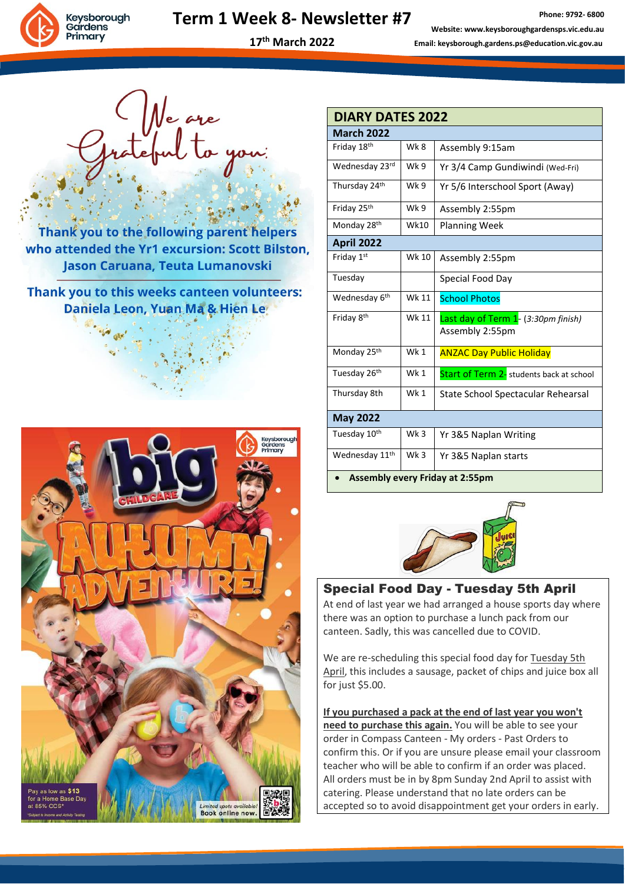

## **Term 1 Week 8- Newsletter #7**

**Phone: 9792- 6800 Website: www.keysboroughgardensps.vic.edu.au Email: keysborough.gardens.ps@education.vic.gov.au**

**17 th March 2022**

Ne are<br>stepul to you:

Thank you to the following parent helpers who attended the Yr1 excursion: Scott Bilston, Jason Caruana, Teuta Lumanovski

Thank you to this weeks canteen volunteers: Daniela Leon, Yuan Ma & Hien Le



| <b>DIARY DATES 2022</b>                |                 |                                                        |
|----------------------------------------|-----------------|--------------------------------------------------------|
| <b>March 2022</b>                      |                 |                                                        |
| Friday 18th                            | Wk 8            | Assembly 9:15am                                        |
| Wednesday 23rd                         | Wk 9            | Yr 3/4 Camp Gundiwindi (Wed-Fri)                       |
| Thursday 24th                          | Wk 9            | Yr 5/6 Interschool Sport (Away)                        |
| Friday 25th                            | Wk 9            | Assembly 2:55pm                                        |
| Monday 28th                            | <b>Wk10</b>     | <b>Planning Week</b>                                   |
| <b>April 2022</b>                      |                 |                                                        |
| Friday 1st                             | Wk 10           | Assembly 2:55pm                                        |
| Tuesday                                |                 | Special Food Day                                       |
| Wednesday 6th                          | Wk 11           | <b>School Photos</b>                                   |
| Friday 8 <sup>th</sup>                 | Wk 11           | Last day of Term 1- (3:30pm finish)<br>Assembly 2:55pm |
| Monday 25th                            | Wk 1            | <b>ANZAC Day Public Holiday</b>                        |
| Tuesday 26th                           | Wk <sub>1</sub> | Start of Term 2- students back at school               |
| Thursday 8th                           | Wk1             | State School Spectacular Rehearsal                     |
| <b>May 2022</b>                        |                 |                                                        |
| Tuesday 10th                           | Wk <sub>3</sub> | Yr 3&5 Naplan Writing                                  |
| Wednesday 11th                         | Wk <sub>3</sub> | Yr 3&5 Naplan starts                                   |
| <b>Assembly every Friday at 2:55pm</b> |                 |                                                        |



#### Special Food Day - Tuesday 5th April

At end of last year we had arranged a house sports day where there was an option to purchase a lunch pack from our canteen. Sadly, this was cancelled due to COVID.

We are re-scheduling this special food day for Tuesday 5th April, this includes a sausage, packet of chips and juice box all for just \$5.00.

**If you purchased a pack at the end of last year you won't need to purchase this again.** You will be able to see your order in Compass Canteen - My orders - Past Orders to confirm this. Or if you are unsure please email your classroom teacher who will be able to confirm if an order was placed. All orders must be in by 8pm Sunday 2nd April to assist with catering. Please understand that no late orders can be accepted so to avoid disappointment get your orders in early.